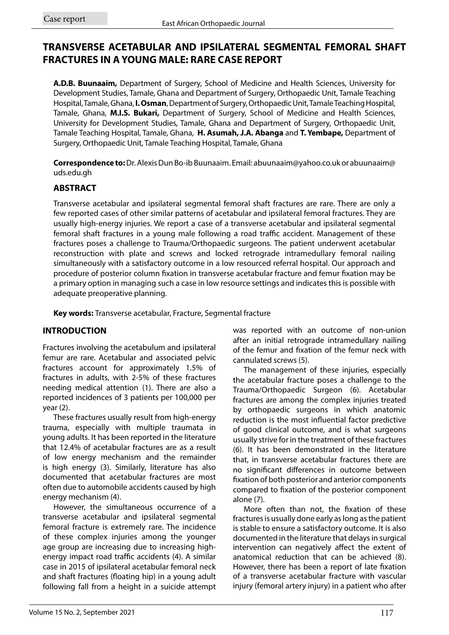# **TRANSVERSE ACETABULAR AND IPSILATERAL SEGMENTAL FEMORAL SHAFT FRACTURES IN A YOUNG MALE: RARE CASE REPORT**

**A.D.B. Buunaaim,** Department of Surgery, School of Medicine and Health Sciences, University for Development Studies, Tamale, Ghana and Department of Surgery, Orthopaedic Unit, Tamale Teaching Hospital, Tamale, Ghana, **I. Osman**, Department of Surgery, Orthopaedic Unit, Tamale Teaching Hospital, Tamale, Ghana, **M.I.S. Bukari,** Department of Surgery, School of Medicine and Health Sciences, University for Development Studies, Tamale, Ghana and Department of Surgery, Orthopaedic Unit, Tamale Teaching Hospital, Tamale, Ghana, **H. Asumah, J.A. Abanga** and **T. Yembape,** Department of Surgery, Orthopaedic Unit, Tamale Teaching Hospital, Tamale, Ghana

**Correspondence to:** Dr. Alexis Dun Bo-ib Buunaaim. Email: abuunaaim@yahoo.co.uk or abuunaaim@ uds.edu.gh

## **ABSTRACT**

Transverse acetabular and ipsilateral segmental femoral shaft fractures are rare. There are only a few reported cases of other similar patterns of acetabular and ipsilateral femoral fractures. They are usually high-energy injuries. We report a case of a transverse acetabular and ipsilateral segmental femoral shaft fractures in a young male following a road traffic accident. Management of these fractures poses a challenge to Trauma/Orthopaedic surgeons. The patient underwent acetabular reconstruction with plate and screws and locked retrograde intramedullary femoral nailing simultaneously with a satisfactory outcome in a low resourced referral hospital. Our approach and procedure of posterior column fixation in transverse acetabular fracture and femur fixation may be a primary option in managing such a case in low resource settings and indicates this is possible with adequate preoperative planning.

**Key words:** Transverse acetabular, Fracture, Segmental fracture

## **INTRODUCTION**

Fractures involving the acetabulum and ipsilateral femur are rare. Acetabular and associated pelvic fractures account for approximately 1.5% of fractures in adults, with 2-5% of these fractures needing medical attention (1). There are also a reported incidences of 3 patients per 100,000 per year (2).

These fractures usually result from high-energy trauma, especially with multiple traumata in young adults. It has been reported in the literature that 12.4% of acetabular fractures are as a result of low energy mechanism and the remainder is high energy (3). Similarly, literature has also documented that acetabular fractures are most often due to automobile accidents caused by high energy mechanism (4).

However, the simultaneous occurrence of a transverse acetabular and ipsilateral segmental femoral fracture is extremely rare. The incidence of these complex injuries among the younger age group are increasing due to increasing highenergy impact road traffic accidents (4). A similar case in 2015 of ipsilateral acetabular femoral neck and shaft fractures (floating hip) in a young adult following fall from a height in a suicide attempt was reported with an outcome of non-union after an initial retrograde intramedullary nailing of the femur and fixation of the femur neck with cannulated screws (5).

The management of these injuries, especially the acetabular fracture poses a challenge to the Trauma/Orthopaedic Surgeon (6). Acetabular fractures are among the complex injuries treated by orthopaedic surgeons in which anatomic reduction is the most influential factor predictive of good clinical outcome, and is what surgeons usually strive for in the treatment of these fractures (6). It has been demonstrated in the literature that, in transverse acetabular fractures there are no significant differences in outcome between fixation of both posterior and anterior components compared to fixation of the posterior component alone (7).

More often than not, the fixation of these fractures is usually done early as long as the patient is stable to ensure a satisfactory outcome. It is also documented in the literature that delays in surgical intervention can negatively affect the extent of anatomical reduction that can be achieved (8). However, there has been a report of late fixation of a transverse acetabular fracture with vascular injury (femoral artery injury) in a patient who after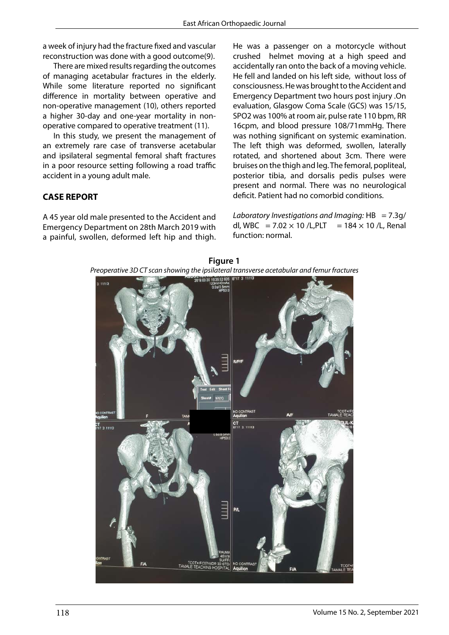a week of injury had the fracture fixed and vascular reconstruction was done with a good outcome(9).

There are mixed results regarding the outcomes of managing acetabular fractures in the elderly. While some literature reported no significant difference in mortality between operative and non-operative management (10), others reported a higher 30-day and one-year mortality in nonoperative compared to operative treatment (11).

In this study, we present the management of an extremely rare case of transverse acetabular and ipsilateral segmental femoral shaft fractures in a poor resource setting following a road traffic accident in a young adult male.

## **CASE REPORT**

A 45 year old male presented to the Accident and Emergency Department on 28th March 2019 with a painful, swollen, deformed left hip and thigh.

He was a passenger on a motorcycle without crushed helmet moving at a high speed and accidentally ran onto the back of a moving vehicle. He fell and landed on his left side, without loss of consciousness. He was brought to the Accident and Emergency Department two hours post injury .On evaluation, Glasgow Coma Scale (GCS) was 15/15, SPO2 was 100% at room air, pulse rate 110 bpm, RR 16cpm, and blood pressure 108/71mmHg. There was nothing significant on systemic examination. The left thigh was deformed, swollen, laterally rotated, and shortened about 3cm. There were bruises on the thigh and leg. The femoral, popliteal, posterior tibia, and dorsalis pedis pulses were present and normal. There was no neurological deficit. Patient had no comorbid conditions.

*Laboratory Investigations and Imaging:* HB = 7.3g/ dl, WBC = 7.02  $\times$  10 /L,PLT = 184  $\times$  10 /L, Renal function: normal.



**Figure 1** *Preoperative 3D CT scan showing the ipsilateral transverse acetabular and femur fractures fracturesPreoperative 3D CT scan showing the ipsilateral transverse acetabular and femur*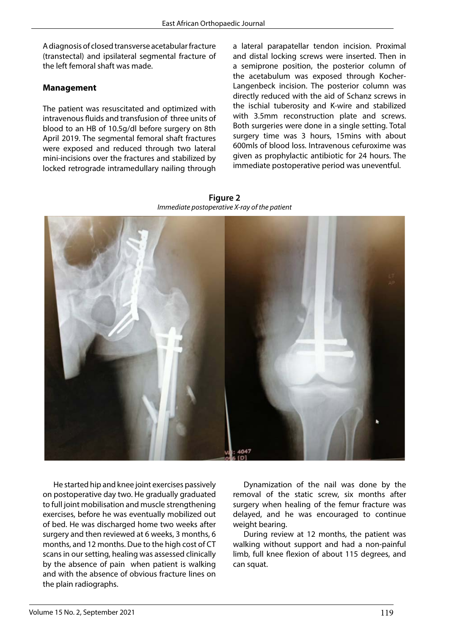A diagnosis of closed transverse acetabular fracture (transtectal) and ipsilateral segmental fracture of the left femoral shaft was made.

## **Management**

The patient was resuscitated and optimized with intravenous fluids and transfusion of three units of blood to an HB of 10.5g/dl before surgery on 8th April 2019. The segmental femoral shaft fractures were exposed and reduced through two lateral mini-incisions over the fractures and stabilized by locked retrograde intramedullary nailing through a lateral parapatellar tendon incision. Proximal and distal locking screws were inserted. Then in a semiprone position, the posterior column of the acetabulum was exposed through Kocher-Langenbeck incision. The posterior column was directly reduced with the aid of Schanz screws in the ischial tuberosity and K-wire and stabilized with 3.5mm reconstruction plate and screws. Both surgeries were done in a single setting. Total surgery time was 3 hours, 15mins with about 600mls of blood loss. Intravenous cefuroxime was given as prophylactic antibiotic for 24 hours. The immediate postoperative period was uneventful.

**Figure 2** *Immediate postoperative X-ray of the patient Immediate postoperative X-ray of the patient*



He started hip and knee joint exercises passively on postoperative day two. He gradually graduated to full joint mobilisation and muscle strengthening exercises, before he was eventually mobilized out of bed. He was discharged home two weeks after surgery and then reviewed at 6 weeks, 3 months, 6 months, and 12 months. Due to the high cost of CT scans in our setting, healing was assessed clinically by the absence of pain when patient is walking and with the absence of obvious fracture lines on the plain radiographs.

Dynamization of the nail was done by the removal of the static screw, six months after surgery when healing of the femur fracture was delayed, and he was encouraged to continue weight bearing.

During review at 12 months, the patient was walking without support and had a non-painful limb, full knee flexion of about 115 degrees, and can squat.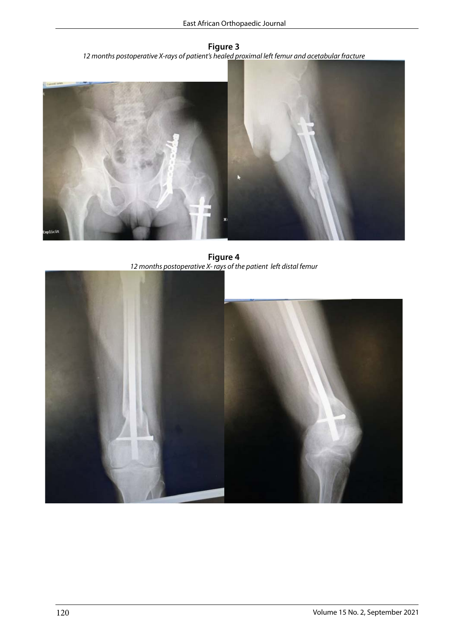**Figure 3** *12 months postoperative X-rays of patient's healed proximal left femur and acetabular fracture acetabular fracture* 



**Figure 4** *12 months postoperative X- rays of the patient left distal femur* **Figure 4**  *12 months postoperative X- rays of the patient left distal femur* 

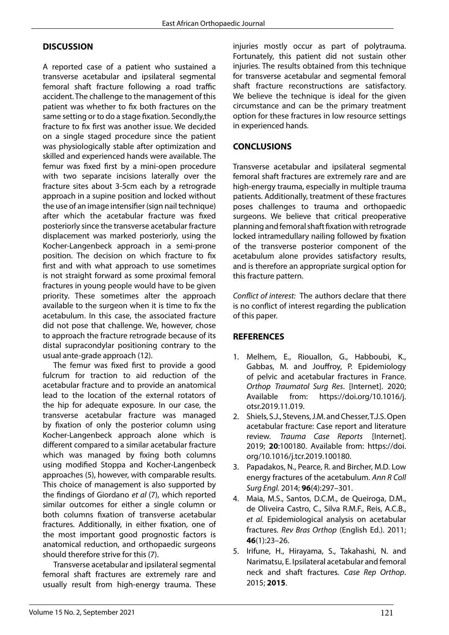## **DISCUSSION**

A reported case of a patient who sustained a transverse acetabular and ipsilateral segmental femoral shaft fracture following a road traffic accident. The challenge to the management of this patient was whether to fix both fractures on the same setting or to do a stage fixation. Secondly,the fracture to fix first was another issue. We decided on a single staged procedure since the patient was physiologically stable after optimization and skilled and experienced hands were available. The femur was fixed first by a mini-open procedure with two separate incisions laterally over the fracture sites about 3-5cm each by a retrograde approach in a supine position and locked without the use of an image intensifier (sign nail technique) after which the acetabular fracture was fixed posteriorly since the transverse acetabular fracture displacement was marked posteriorly, using the Kocher-Langenbeck approach in a semi-prone position. The decision on which fracture to fix first and with what approach to use sometimes is not straight forward as some proximal femoral fractures in young people would have to be given priority. These sometimes alter the approach available to the surgeon when it is time to fix the acetabulum. In this case, the associated fracture did not pose that challenge. We, however, chose to approach the fracture retrograde because of its distal supracondylar positioning contrary to the usual ante-grade approach (12).

The femur was fixed first to provide a good fulcrum for traction to aid reduction of the acetabular fracture and to provide an anatomical lead to the location of the external rotators of the hip for adequate exposure. In our case, the transverse acetabular fracture was managed by fixation of only the posterior column using Kocher-Langenbeck approach alone which is different compared to a similar acetabular fracture which was managed by fixing both columns using modified Stoppa and Kocher-Langenbeck approaches (5), however, with comparable results. This choice of management is also supported by the findings of Giordano *et al* (7), which reported similar outcomes for either a single column or both columns fixation of transverse acetabular fractures. Additionally, in either fixation, one of the most important good prognostic factors is anatomical reduction, and orthopaedic surgeons should therefore strive for this (7).

Transverse acetabular and ipsilateral segmental femoral shaft fractures are extremely rare and usually result from high-energy trauma. These

injuries mostly occur as part of polytrauma. Fortunately, this patient did not sustain other injuries. The results obtained from this technique for transverse acetabular and segmental femoral shaft fracture reconstructions are satisfactory. We believe the technique is ideal for the given circumstance and can be the primary treatment option for these fractures in low resource settings in experienced hands.

#### **CONCLUSIONS**

Transverse acetabular and ipsilateral segmental femoral shaft fractures are extremely rare and are high-energy trauma, especially in multiple trauma patients. Additionally, treatment of these fractures poses challenges to trauma and orthopaedic surgeons. We believe that critical preoperative planning and femoral shaft fixation with retrograde locked intramedullary nailing followed by fixation of the transverse posterior component of the acetabulum alone provides satisfactory results, and is therefore an appropriate surgical option for this fracture pattern.

*Conflict of interest:* The authors declare that there is no conflict of interest regarding the publication of this paper.

## **REFERENCES**

- 1. Melhem, E., Riouallon, G., Habboubi, K., Gabbas, M. and Jouffroy, P. Epidemiology of pelvic and acetabular fractures in France. *Orthop Traumatol Surg Res*. [Internet]. 2020; Available from: https://doi.org/10.1016/j. otsr.2019.11.019.
- 2. Shiels, S.J., Stevens, J.M. and Chesser, T.J.S. Open acetabular fracture: Case report and literature review. *Trauma Case Reports* [Internet]. 2019; **20**:100180. Available from: https://doi. org/10.1016/j.tcr.2019.100180.
- 3. Papadakos, N., Pearce, R. and Bircher, M.D. Low energy fractures of the acetabulum. *Ann R Coll Surg Engl.* 2014; **96**(4):297–301.
- 4. Maia, M.S., Santos, D.C.M., de Queiroga, D.M., de Oliveira Castro, C., Silva R.M.F., Reis, A.C.B., *et al.* Epidemiological analysis on acetabular fractures. *Rev Bras Orthop* (English Ed.). 2011; **46**(1):23–26.
- 5. Irifune, H., Hirayama, S., Takahashi, N. and Narimatsu, E. Ipsilateral acetabular and femoral neck and shaft fractures. *Case Rep Orthop*. 2015; **2015**.